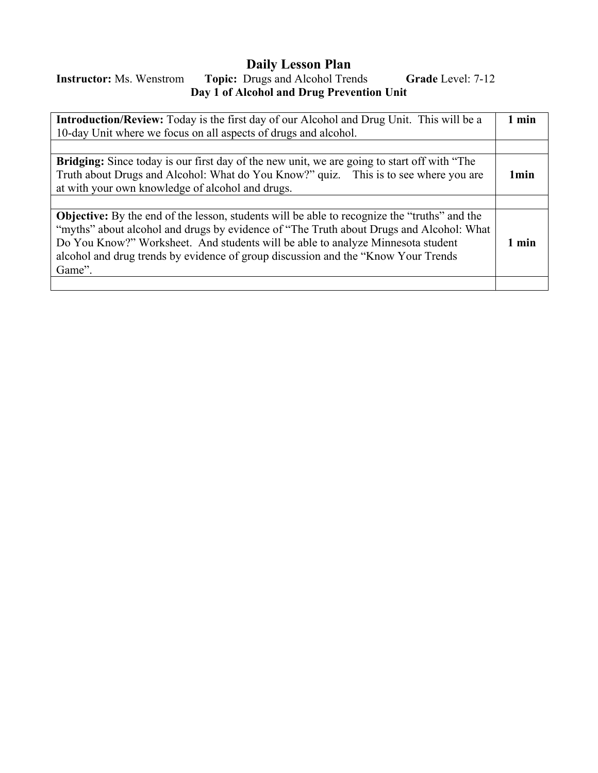# **Daily Lesson Plan**

# **Instructor:** Ms. Wenstrom **Topic:** Drugs and Alcohol Trends **Grade** Level: 7-12 **Day 1 of Alcohol and Drug Prevention Unit**

| <b>Introduction/Review:</b> Today is the first day of our Alcohol and Drug Unit. This will be a                                                                                                                                                                                                                                                                                   | 1 min            |
|-----------------------------------------------------------------------------------------------------------------------------------------------------------------------------------------------------------------------------------------------------------------------------------------------------------------------------------------------------------------------------------|------------------|
| 10-day Unit where we focus on all aspects of drugs and alcohol.                                                                                                                                                                                                                                                                                                                   |                  |
|                                                                                                                                                                                                                                                                                                                                                                                   |                  |
| <b>Bridging:</b> Since today is our first day of the new unit, we are going to start off with "The<br>Truth about Drugs and Alcohol: What do You Know?" quiz. This is to see where you are<br>at with your own knowledge of alcohol and drugs.                                                                                                                                    | 1 <sub>min</sub> |
|                                                                                                                                                                                                                                                                                                                                                                                   |                  |
| <b>Objective:</b> By the end of the lesson, students will be able to recognize the "truths" and the<br>"myths" about alcohol and drugs by evidence of "The Truth about Drugs and Alcohol: What<br>Do You Know?" Worksheet. And students will be able to analyze Minnesota student<br>alcohol and drug trends by evidence of group discussion and the "Know Your Trends"<br>Game". | 1 min            |
|                                                                                                                                                                                                                                                                                                                                                                                   |                  |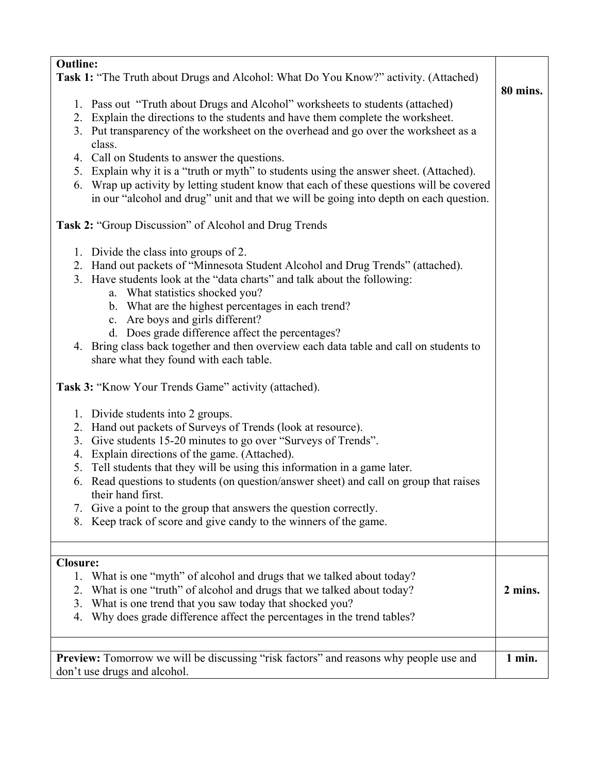| <b>Outline:</b>                                                                                             |                 |  |  |
|-------------------------------------------------------------------------------------------------------------|-----------------|--|--|
| <b>Task 1:</b> "The Truth about Drugs and Alcohol: What Do You Know?" activity. (Attached)                  |                 |  |  |
|                                                                                                             | <b>80 mins.</b> |  |  |
| 1. Pass out "Truth about Drugs and Alcohol" worksheets to students (attached)                               |                 |  |  |
| 2. Explain the directions to the students and have them complete the worksheet.                             |                 |  |  |
| 3. Put transparency of the worksheet on the overhead and go over the worksheet as a                         |                 |  |  |
| class.                                                                                                      |                 |  |  |
| 4. Call on Students to answer the questions.                                                                |                 |  |  |
| Explain why it is a "truth or myth" to students using the answer sheet. (Attached).<br>5.                   |                 |  |  |
|                                                                                                             |                 |  |  |
| 6. Wrap up activity by letting student know that each of these questions will be covered                    |                 |  |  |
| in our "alcohol and drug" unit and that we will be going into depth on each question.                       |                 |  |  |
| <b>Task 2: "Group Discussion" of Alcohol and Drug Trends</b>                                                |                 |  |  |
| 1. Divide the class into groups of 2.                                                                       |                 |  |  |
| 2. Hand out packets of "Minnesota Student Alcohol and Drug Trends" (attached).                              |                 |  |  |
| 3. Have students look at the "data charts" and talk about the following:                                    |                 |  |  |
| a. What statistics shocked you?                                                                             |                 |  |  |
|                                                                                                             |                 |  |  |
| b. What are the highest percentages in each trend?                                                          |                 |  |  |
| c. Are boys and girls different?                                                                            |                 |  |  |
| d. Does grade difference affect the percentages?                                                            |                 |  |  |
| 4. Bring class back together and then overview each data table and call on students to                      |                 |  |  |
| share what they found with each table.                                                                      |                 |  |  |
| <b>Task 3: "Know Your Trends Game" activity (attached).</b>                                                 |                 |  |  |
| 1. Divide students into 2 groups.                                                                           |                 |  |  |
| 2. Hand out packets of Surveys of Trends (look at resource).                                                |                 |  |  |
| 3. Give students 15-20 minutes to go over "Surveys of Trends".                                              |                 |  |  |
| Explain directions of the game. (Attached).<br>4.                                                           |                 |  |  |
| Tell students that they will be using this information in a game later.<br>5.                               |                 |  |  |
|                                                                                                             |                 |  |  |
| 6. Read questions to students (on question/answer sheet) and call on group that raises<br>their hand first. |                 |  |  |
|                                                                                                             |                 |  |  |
| Give a point to the group that answers the question correctly.<br>7.                                        |                 |  |  |
| Keep track of score and give candy to the winners of the game.<br>8.                                        |                 |  |  |
|                                                                                                             |                 |  |  |
| <b>Closure:</b>                                                                                             |                 |  |  |
| 1. What is one "myth" of alcohol and drugs that we talked about today?                                      |                 |  |  |
| What is one "truth" of alcohol and drugs that we talked about today?<br>2.                                  | 2 mins.         |  |  |
| What is one trend that you saw today that shocked you?<br>3.                                                |                 |  |  |
| Why does grade difference affect the percentages in the trend tables?<br>4.                                 |                 |  |  |
|                                                                                                             |                 |  |  |
|                                                                                                             |                 |  |  |
| Preview: Tomorrow we will be discussing "risk factors" and reasons why people use and                       | 1 min.          |  |  |
| don't use drugs and alcohol.                                                                                |                 |  |  |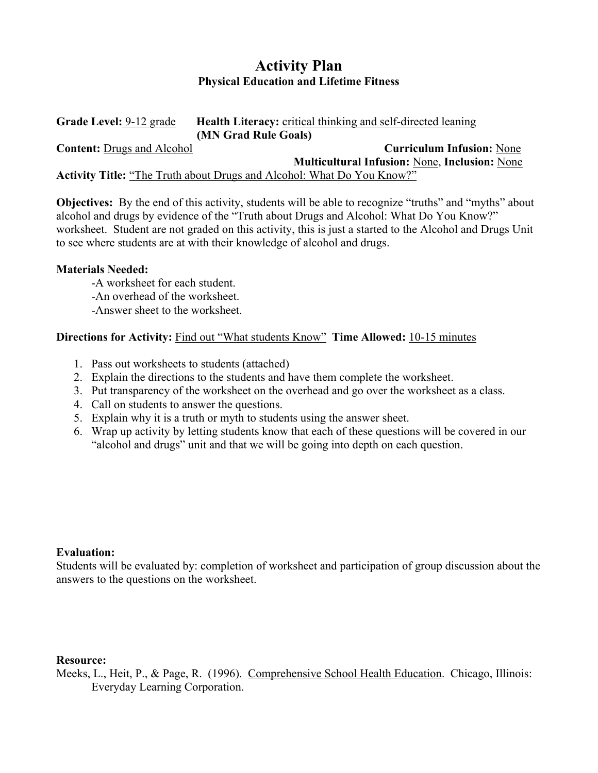# **Activity Plan Physical Education and Lifetime Fitness**

| Grade Level: 9-12 grade           | <b>Health Literacy:</b> critical thinking and self-directed leaning           |
|-----------------------------------|-------------------------------------------------------------------------------|
|                                   | (MN Grad Rule Goals)                                                          |
| <b>Content:</b> Drugs and Alcohol | <b>Curriculum Infusion: None</b>                                              |
|                                   | <b>Multicultural Infusion: None, Inclusion: None</b>                          |
|                                   | <b>Activity Title:</b> "The Truth about Drugs and Alcohol: What Do You Know?" |

**Objectives:** By the end of this activity, students will be able to recognize "truths" and "myths" about alcohol and drugs by evidence of the "Truth about Drugs and Alcohol: What Do You Know?" worksheet. Student are not graded on this activity, this is just a started to the Alcohol and Drugs Unit to see where students are at with their knowledge of alcohol and drugs.

## **Materials Needed:**

- -A worksheet for each student.
- -An overhead of the worksheet.
- -Answer sheet to the worksheet.

## **Directions for Activity:** Find out "What students Know" **Time Allowed:** 10-15 minutes

- 1. Pass out worksheets to students (attached)
- 2. Explain the directions to the students and have them complete the worksheet.
- 3. Put transparency of the worksheet on the overhead and go over the worksheet as a class.
- 4. Call on students to answer the questions.
- 5. Explain why it is a truth or myth to students using the answer sheet.
- 6. Wrap up activity by letting students know that each of these questions will be covered in our "alcohol and drugs" unit and that we will be going into depth on each question.

### **Evaluation:**

Students will be evaluated by: completion of worksheet and participation of group discussion about the answers to the questions on the worksheet.

### **Resource:**

Meeks, L., Heit, P., & Page, R. (1996). Comprehensive School Health Education. Chicago, Illinois: Everyday Learning Corporation.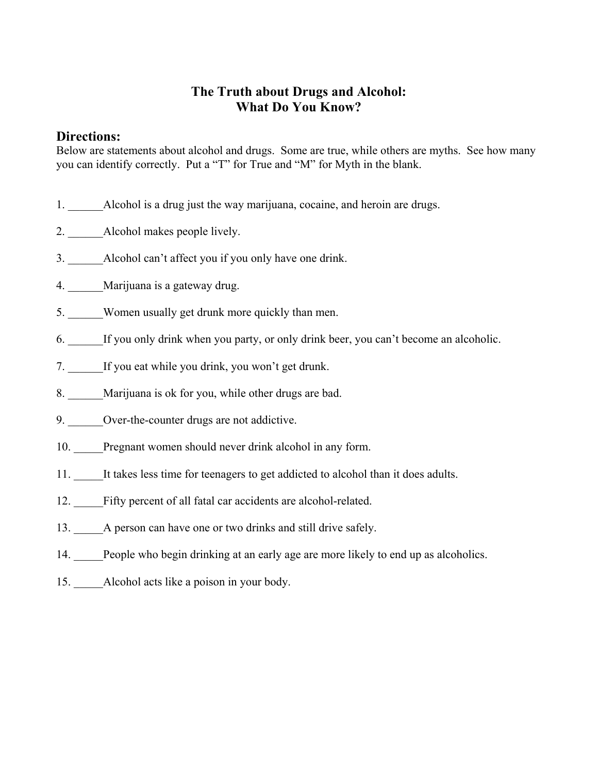# **The Truth about Drugs and Alcohol: What Do You Know?**

## **Directions:**

Below are statements about alcohol and drugs. Some are true, while others are myths. See how many you can identify correctly. Put a "T" for True and "M" for Myth in the blank.

- 1. Alcohol is a drug just the way marijuana, cocaine, and heroin are drugs.
- 2. Alcohol makes people lively.
- 3. \_\_\_\_\_\_Alcohol can't affect you if you only have one drink.
- 4. Marijuana is a gateway drug.
- 5. Women usually get drunk more quickly than men.
- 6. If you only drink when you party, or only drink beer, you can't become an alcoholic.
- 7. If you eat while you drink, you won't get drunk.
- 8. Marijuana is ok for you, while other drugs are bad.
- 9. Over-the-counter drugs are not addictive.
- 10. Pregnant women should never drink alcohol in any form.
- 11. \_\_\_\_\_It takes less time for teenagers to get addicted to alcohol than it does adults.
- 12. Fifty percent of all fatal car accidents are alcohol-related.
- 13. A person can have one or two drinks and still drive safely.
- 14. People who begin drinking at an early age are more likely to end up as alcoholics.
- 15. Alcohol acts like a poison in your body.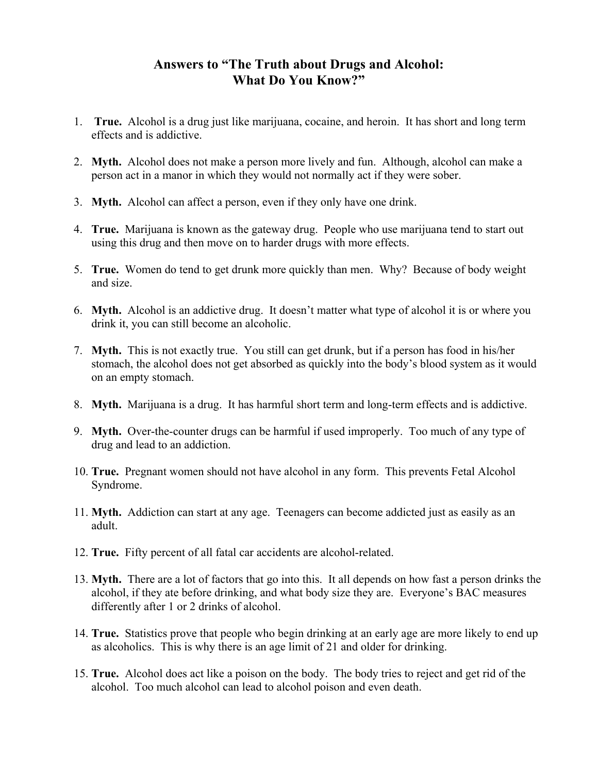# **Answers to "The Truth about Drugs and Alcohol: What Do You Know?"**

- 1. **True.** Alcohol is a drug just like marijuana, cocaine, and heroin. It has short and long term effects and is addictive.
- 2. **Myth.** Alcohol does not make a person more lively and fun. Although, alcohol can make a person act in a manor in which they would not normally act if they were sober.
- 3. **Myth.** Alcohol can affect a person, even if they only have one drink.
- 4. **True.** Marijuana is known as the gateway drug. People who use marijuana tend to start out using this drug and then move on to harder drugs with more effects.
- 5. **True.** Women do tend to get drunk more quickly than men. Why? Because of body weight and size.
- 6. **Myth.** Alcohol is an addictive drug. It doesn't matter what type of alcohol it is or where you drink it, you can still become an alcoholic.
- 7. **Myth.** This is not exactly true. You still can get drunk, but if a person has food in his/her stomach, the alcohol does not get absorbed as quickly into the body's blood system as it would on an empty stomach.
- 8. **Myth.** Marijuana is a drug. It has harmful short term and long-term effects and is addictive.
- 9. **Myth.** Over-the-counter drugs can be harmful if used improperly. Too much of any type of drug and lead to an addiction.
- 10. **True.** Pregnant women should not have alcohol in any form. This prevents Fetal Alcohol Syndrome.
- 11. **Myth.** Addiction can start at any age. Teenagers can become addicted just as easily as an adult.
- 12. **True.** Fifty percent of all fatal car accidents are alcohol-related.
- 13. **Myth.** There are a lot of factors that go into this. It all depends on how fast a person drinks the alcohol, if they ate before drinking, and what body size they are. Everyone's BAC measures differently after 1 or 2 drinks of alcohol.
- 14. **True.** Statistics prove that people who begin drinking at an early age are more likely to end up as alcoholics. This is why there is an age limit of 21 and older for drinking.
- 15. **True.** Alcohol does act like a poison on the body. The body tries to reject and get rid of the alcohol. Too much alcohol can lead to alcohol poison and even death.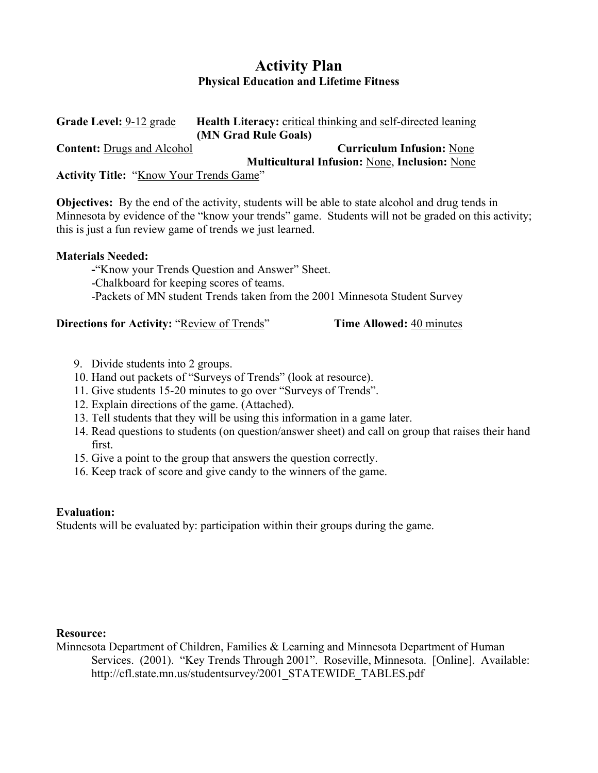# **Activity Plan Physical Education and Lifetime Fitness**

**Grade Level:** 9-12 grade **Health Literacy:** critical thinking and self-directed leaning **(MN Grad Rule Goals) Content:** Drugs and Alcohol **Curriculum Infusion:** None  **Multicultural Infusion:** None, **Inclusion:** None Activity Title: "Know Your Trends Game"

**Objectives:** By the end of the activity, students will be able to state alcohol and drug tends in Minnesota by evidence of the "know your trends" game. Students will not be graded on this activity; this is just a fun review game of trends we just learned.

### **Materials Needed:**

 **-**"Know your Trends Question and Answer" Sheet. -Chalkboard for keeping scores of teams. -Packets of MN student Trends taken from the 2001 Minnesota Student Survey

**Directions for Activity: "Review of Trends" Time Allowed:** 40 minutes

- 9. Divide students into 2 groups.
- 10. Hand out packets of "Surveys of Trends" (look at resource).
- 11. Give students 15-20 minutes to go over "Surveys of Trends".
- 12. Explain directions of the game. (Attached).
- 13. Tell students that they will be using this information in a game later.
- 14. Read questions to students (on question/answer sheet) and call on group that raises their hand first.
- 15. Give a point to the group that answers the question correctly.
- 16. Keep track of score and give candy to the winners of the game.

## **Evaluation:**

Students will be evaluated by: participation within their groups during the game.

## **Resource:**

Minnesota Department of Children, Families & Learning and Minnesota Department of Human Services. (2001). "Key Trends Through 2001". Roseville, Minnesota. [Online]. Available: http://cfl.state.mn.us/studentsurvey/2001\_STATEWIDE\_TABLES.pdf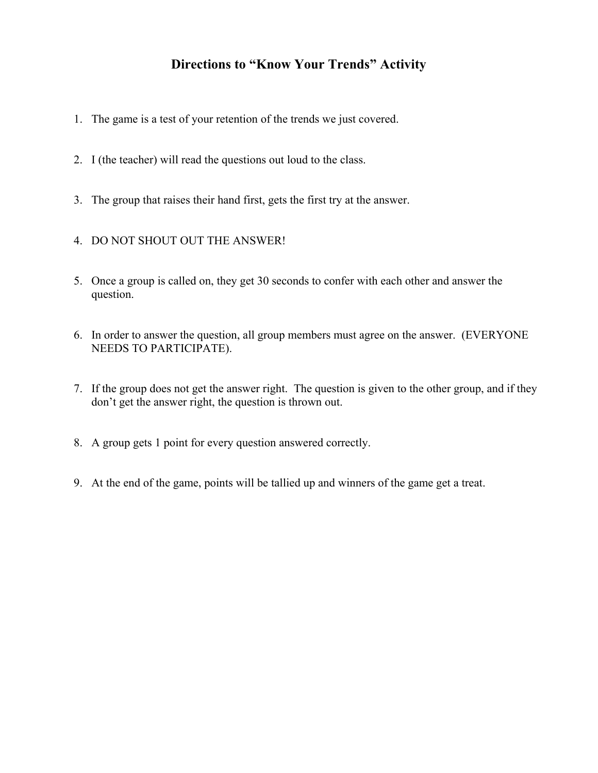# **Directions to "Know Your Trends" Activity**

- 1. The game is a test of your retention of the trends we just covered.
- 2. I (the teacher) will read the questions out loud to the class.
- 3. The group that raises their hand first, gets the first try at the answer.
- 4. DO NOT SHOUT OUT THE ANSWER!
- 5. Once a group is called on, they get 30 seconds to confer with each other and answer the question.
- 6. In order to answer the question, all group members must agree on the answer. (EVERYONE NEEDS TO PARTICIPATE).
- 7. If the group does not get the answer right. The question is given to the other group, and if they don't get the answer right, the question is thrown out.
- 8. A group gets 1 point for every question answered correctly.
- 9. At the end of the game, points will be tallied up and winners of the game get a treat.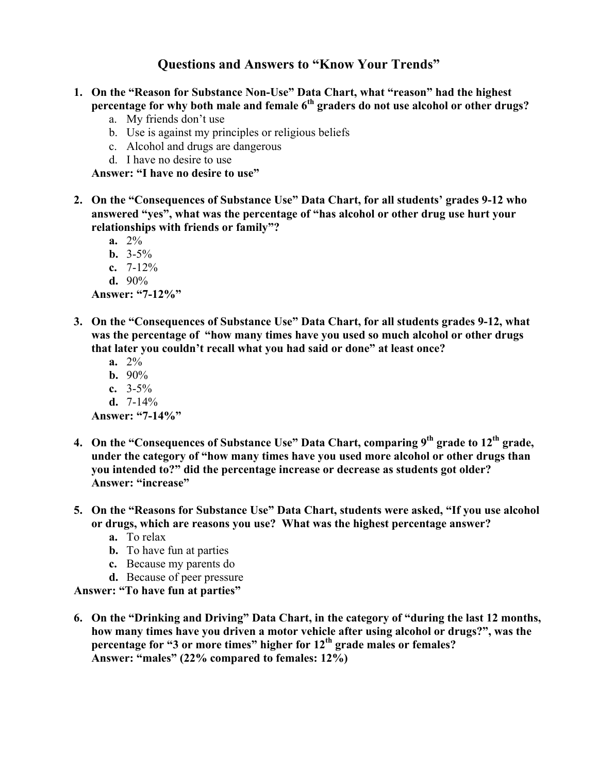# **Questions and Answers to "Know Your Trends"**

- **1. On the "Reason for Substance Non-Use" Data Chart, what "reason" had the highest percentage for why both male and female 6th graders do not use alcohol or other drugs?** 
	- a. My friends don't use
	- b. Use is against my principles or religious beliefs
	- c. Alcohol and drugs are dangerous
	- d. I have no desire to use

**Answer: "I have no desire to use"** 

- **2. On the "Consequences of Substance Use" Data Chart, for all students' grades 9-12 who answered "yes", what was the percentage of "has alcohol or other drug use hurt your relationships with friends or family"?** 
	- **a.** 2%
	- **b.**  $3-5\%$
	- **c.** 7-12%
	- **d.** 90%

**Answer: "7-12%"** 

- **3. On the "Consequences of Substance Use" Data Chart, for all students grades 9-12, what was the percentage of "how many times have you used so much alcohol or other drugs that later you couldn't recall what you had said or done" at least once?** 
	- **a.** 2%
	- **b.**  $90\%$
	- **c.** 3-5%
	- **d.** 7-14%

**Answer: "7-14%"** 

- **4. On the "Consequences of Substance Use" Data Chart, comparing 9th grade to 12th grade, under the category of "how many times have you used more alcohol or other drugs than you intended to?" did the percentage increase or decrease as students got older? Answer: "increase"**
- **5. On the "Reasons for Substance Use" Data Chart, students were asked, "If you use alcohol or drugs, which are reasons you use? What was the highest percentage answer?** 
	- **a.** To relax
	- **b.** To have fun at parties
	- **c.** Because my parents do
	- **d.** Because of peer pressure

**Answer: "To have fun at parties"** 

**6. On the "Drinking and Driving" Data Chart, in the category of "during the last 12 months, how many times have you driven a motor vehicle after using alcohol or drugs?", was the percentage for "3 or more times" higher for 12th grade males or females? Answer: "males" (22% compared to females: 12%)**